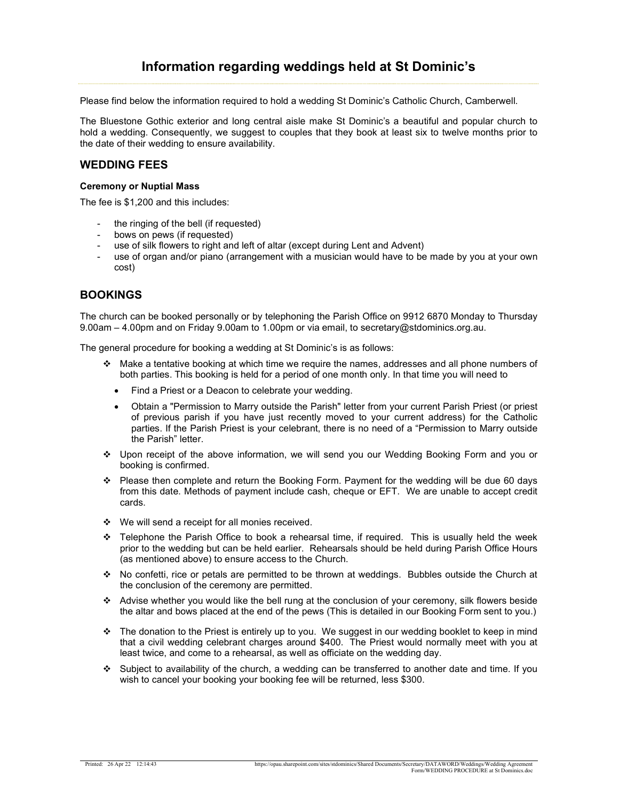# Information regarding weddings held at St Dominic's

Please find below the information required to hold a wedding St Dominic's Catholic Church, Camberwell.

The Bluestone Gothic exterior and long central aisle make St Dominic's a beautiful and popular church to hold a wedding. Consequently, we suggest to couples that they book at least six to twelve months prior to the date of their wedding to ensure availability.

#### WEDDING FEES

#### Ceremony or Nuptial Mass

The fee is \$1,200 and this includes:

- the ringing of the bell (if requested)
- bows on pews (if requested)
- use of silk flowers to right and left of altar (except during Lent and Advent)
- use of organ and/or piano (arrangement with a musician would have to be made by you at your own cost)

### BOOKINGS

The church can be booked personally or by telephoning the Parish Office on 9912 6870 Monday to Thursday 9.00am – 4.00pm and on Friday 9.00am to 1.00pm or via email, to secretary@stdominics.org.au.

The general procedure for booking a wedding at St Dominic's is as follows:

- $\cdot \cdot$  Make a tentative booking at which time we require the names, addresses and all phone numbers of both parties. This booking is held for a period of one month only. In that time you will need to
	- Find a Priest or a Deacon to celebrate your wedding.
	- Obtain a "Permission to Marry outside the Parish" letter from your current Parish Priest (or priest of previous parish if you have just recently moved to your current address) for the Catholic parties. If the Parish Priest is your celebrant, there is no need of a "Permission to Marry outside the Parish" letter.
- Upon receipt of the above information, we will send you our Wedding Booking Form and you or booking is confirmed.
- Please then complete and return the Booking Form. Payment for the wedding will be due 60 days from this date. Methods of payment include cash, cheque or EFT. We are unable to accept credit cards.
- We will send a receipt for all monies received.
- $\div$  Telephone the Parish Office to book a rehearsal time, if required. This is usually held the week prior to the wedding but can be held earlier. Rehearsals should be held during Parish Office Hours (as mentioned above) to ensure access to the Church.
- No confetti, rice or petals are permitted to be thrown at weddings. Bubbles outside the Church at the conclusion of the ceremony are permitted.
- Advise whether you would like the bell rung at the conclusion of your ceremony, silk flowers beside the altar and bows placed at the end of the pews (This is detailed in our Booking Form sent to you.)
- The donation to the Priest is entirely up to you. We suggest in our wedding booklet to keep in mind that a civil wedding celebrant charges around \$400. The Priest would normally meet with you at least twice, and come to a rehearsal, as well as officiate on the wedding day.
- $\div$  Subject to availability of the church, a wedding can be transferred to another date and time. If you wish to cancel your booking your booking fee will be returned, less \$300.